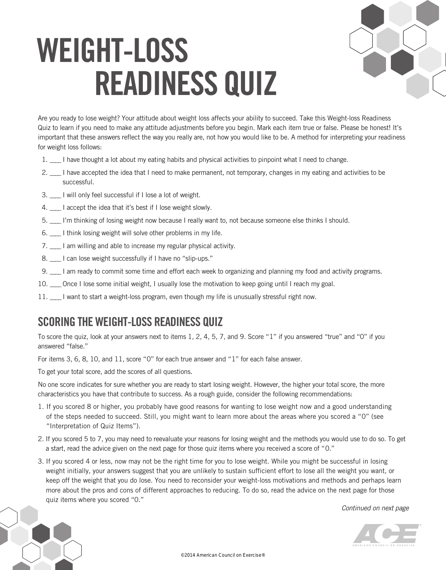## **WeIGht-loss reADIness QUIZ**



Are you ready to lose weight? Your attitude about weight loss affects your ability to succeed. Take this Weight-loss Readiness Quiz to learn if you need to make any attitude adjustments before you begin. Mark each item true or false. Please be honest! It's important that these answers reflect the way you really are, not how you would like to be. A method for interpreting your readiness for weight loss follows:

- 1. \_\_\_\_ I have thought a lot about my eating habits and physical activities to pinpoint what I need to change.
- 2. I have accepted the idea that I need to make permanent, not temporary, changes in my eating and activities to be successful.
- 3. \_\_\_\_ I will only feel successful if I lose a lot of weight.
- 4. I accept the idea that it's best if I lose weight slowly.
- 5. \_\_\_\_ I'm thinking of losing weight now because I really want to, not because someone else thinks I should.
- 6. \_\_\_\_ I think losing weight will solve other problems in my life.
- 7. \_\_\_\_ I am willing and able to increase my regular physical activity.
- 8. L can lose weight successfully if I have no "slip-ups."
- 9. I am ready to commit some time and effort each week to organizing and planning my food and activity programs.
- 10. \_\_\_\_ Once I lose some initial weight, I usually lose the motivation to keep going until I reach my goal.
- 11. \_\_\_\_ I want to start a weight-loss program, even though my life is unusually stressful right now.

## **sCorInG the WeIGht-loss reADIness QUIZ**

To score the quiz, look at your answers next to items 1, 2, 4, 5, 7, and 9. Score "1" if you answered "true" and "0" if you answered "false."

For items 3, 6, 8, 10, and 11, score "0" for each true answer and "1" for each false answer.

To get your total score, add the scores of all questions.

No one score indicates for sure whether you are ready to start losing weight. However, the higher your total score, the more characteristics you have that contribute to success. As a rough guide, consider the following recommendations:

- 1. If you scored 8 or higher, you probably have good reasons for wanting to lose weight now and a good understanding of the steps needed to succeed. Still, you might want to learn more about the areas where you scored a "0" (see "Interpretation of Quiz Items").
- 2. If you scored 5 to 7, you may need to reevaluate your reasons for losing weight and the methods you would use to do so. To get a start, read the advice given on the next page for those quiz items where you received a score of "0."
- 3. If you scored 4 or less, now may not be the right time for you to lose weight. While you might be successful in losing weight initially, your answers suggest that you are unlikely to sustain sufficient effort to lose all the weight you want, or keep off the weight that you do lose. You need to reconsider your weight-loss motivations and methods and perhaps learn more about the pros and cons of different approaches to reducing. To do so, read the advice on the next page for those quiz items where you scored "0."

*Continued on next page*